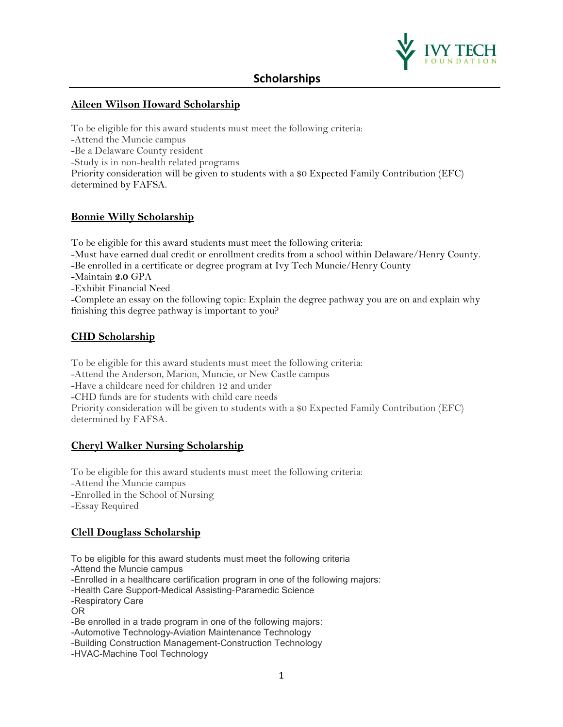

### **[Aileen Wilson Howard Scholarship](https://ivytechsystem.scholarships.ngwebsolutions.com/ScholarX_Scholarship_Basics.aspx?AvailabilityId=52928)**

To be eligible for this award students must meet the following criteria: -Attend the Muncie campus -Be a Delaware County resident -Study is in non-health related programs Priority consideration will be given to students with a \$0 Expected Family Contribution (EFC) determined by FAFSA.

### **Bonnie Willy Scholarship**

To be eligible for this award students must meet the following criteria: -Must have earned dual credit or enrollment credits from a school within Delaware/Henry County. -Be enrolled in a certificate or degree program at Ivy Tech Muncie/Henry County -Maintain **2.0** GPA -Exhibit Financial Need -Complete an essay on the following topic: Explain the degree pathway you are on and explain why finishing this degree pathway is important to you?

### **CHD Scholarship**

To be eligible for this award students must meet the following criteria: -Attend the Anderson, Marion, Muncie, or New Castle campus -Have a childcare need for children 12 and under -CHD funds are for students with child care needs Priority consideration will be given to students with a \$0 Expected Family Contribution (EFC) determined by FAFSA.

### **Cheryl Walker Nursing Scholarship**

To be eligible for this award students must meet the following criteria: -Attend the Muncie campus -Enrolled in the School of Nursing -Essay Required

### **Clell Douglass Scholarship**

To be eligible for this award students must meet the following criteria

-Attend the Muncie campus

-Enrolled in a healthcare certification program in one of the following majors:

-Health Care Support-Medical Assisting-Paramedic Science

-Respiratory Care

OR

-Be enrolled in a trade program in one of the following majors:

-Automotive Technology-Aviation Maintenance Technology

-Building Construction Management-Construction Technology

-HVAC-Machine Tool Technology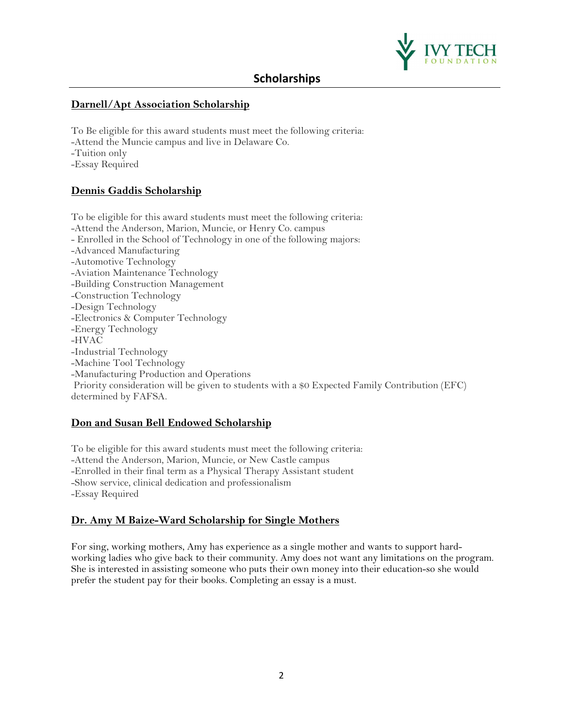

### **Darnell/Apt Association Scholarship**

To Be eligible for this award students must meet the following criteria: -Attend the Muncie campus and live in Delaware Co. -Tuition only -Essay Required

### **Dennis Gaddis Scholarship**

To be eligible for this award students must meet the following criteria: -Attend the Anderson, Marion, Muncie, or Henry Co. campus - Enrolled in the School of Technology in one of the following majors: -Advanced Manufacturing -Automotive Technology -Aviation Maintenance Technology -Building Construction Management -Construction Technology -Design Technology -Electronics & Computer Technology -Energy Technology -HVAC -Industrial Technology -Machine Tool Technology -Manufacturing Production and Operations Priority consideration will be given to students with a \$0 Expected Family Contribution (EFC) determined by FAFSA.

### **Don and Susan Bell Endowed Scholarship**

To be eligible for this award students must meet the following criteria: -Attend the Anderson, Marion, Muncie, or New Castle campus -Enrolled in their final term as a Physical Therapy Assistant student -Show service, clinical dedication and professionalism -Essay Required

### **Dr. Amy M Baize-Ward Scholarship for Single Mothers**

For sing, working mothers, Amy has experience as a single mother and wants to support hardworking ladies who give back to their community. Amy does not want any limitations on the program. She is interested in assisting someone who puts their own money into their education-so she would prefer the student pay for their books. Completing an essay is a must.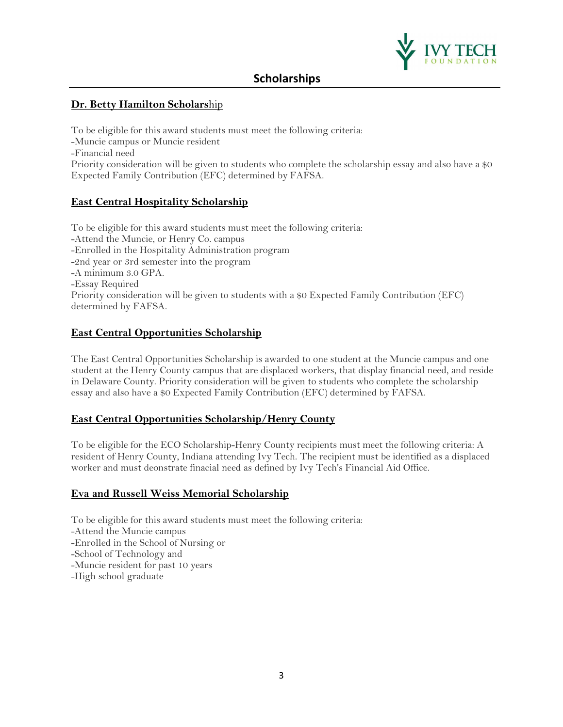

## **Dr. Betty Hamilton Scholars**hip

To be eligible for this award students must meet the following criteria: -Muncie campus or Muncie resident -Financial need Priority consideration will be given to students who complete the scholarship essay and also have a \$0 Expected Family Contribution (EFC) determined by FAFSA.

## **East Central Hospitality Scholarship**

To be eligible for this award students must meet the following criteria: -Attend the Muncie, or Henry Co. campus -Enrolled in the Hospitality Administration program -2nd year or 3rd semester into the program -A minimum 3.0 GPA. -Essay Required Priority consideration will be given to students with a \$0 Expected Family Contribution (EFC) determined by FAFSA.

### **East Central Opportunities Scholarship**

The East Central Opportunities Scholarship is awarded to one student at the Muncie campus and one student at the Henry County campus that are displaced workers, that display financial need, and reside in Delaware County. Priority consideration will be given to students who complete the scholarship essay and also have a \$0 Expected Family Contribution (EFC) determined by FAFSA.

### **East Central Opportunities Scholarship/Henry County**

To be eligible for the ECO Scholarship-Henry County recipients must meet the following criteria: A resident of Henry County, Indiana attending Ivy Tech. The recipient must be identified as a displaced worker and must deonstrate finacial need as defined by Ivy Tech's Financial Aid Office.

### **Eva and Russell Weiss Memorial Scholarship**

To be eligible for this award students must meet the following criteria: -Attend the Muncie campus -Enrolled in the School of Nursing or -School of Technology and -Muncie resident for past 10 years -High school graduate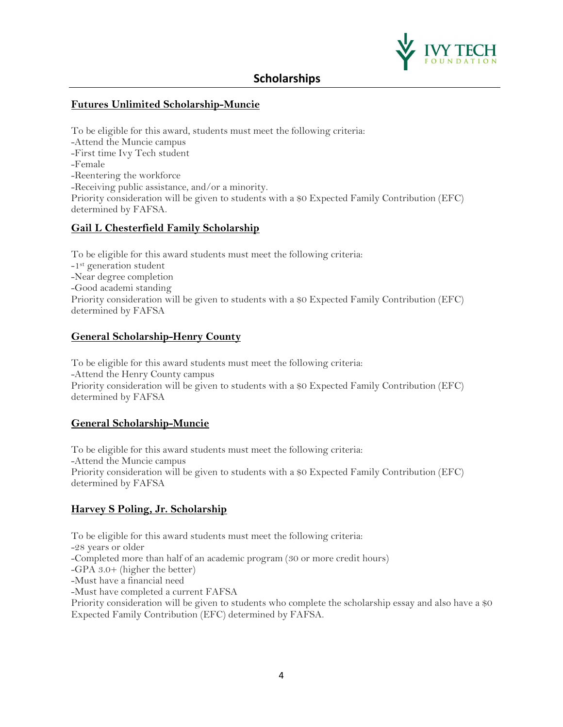

## **Futures Unlimited Scholarship-Muncie**

To be eligible for this award, students must meet the following criteria: -Attend the Muncie campus -First time Ivy Tech student -Female -Reentering the workforce -Receiving public assistance, and/or a minority. Priority consideration will be given to students with a \$0 Expected Family Contribution (EFC) determined by FAFSA.

### **Gail L Chesterfield Family Scholarship**

To be eligible for this award students must meet the following criteria: -1<sup>st</sup> generation student -Near degree completion -Good academi standing Priority consideration will be given to students with a \$0 Expected Family Contribution (EFC) determined by FAFSA

## **General Scholarship-Henry County**

To be eligible for this award students must meet the following criteria: -Attend the Henry County campus Priority consideration will be given to students with a \$0 Expected Family Contribution (EFC) determined by FAFSA

## **General Scholarship-Muncie**

To be eligible for this award students must meet the following criteria: -Attend the Muncie campus Priority consideration will be given to students with a \$0 Expected Family Contribution (EFC) determined by FAFSA

## **Harvey S Poling, Jr. Scholarship**

To be eligible for this award students must meet the following criteria: -28 years or older -Completed more than half of an academic program (30 or more credit hours) -GPA 3.0+ (higher the better) -Must have a financial need -Must have completed a current FAFSA Priority consideration will be given to students who complete the scholarship essay and also have a \$0 Expected Family Contribution (EFC) determined by FAFSA.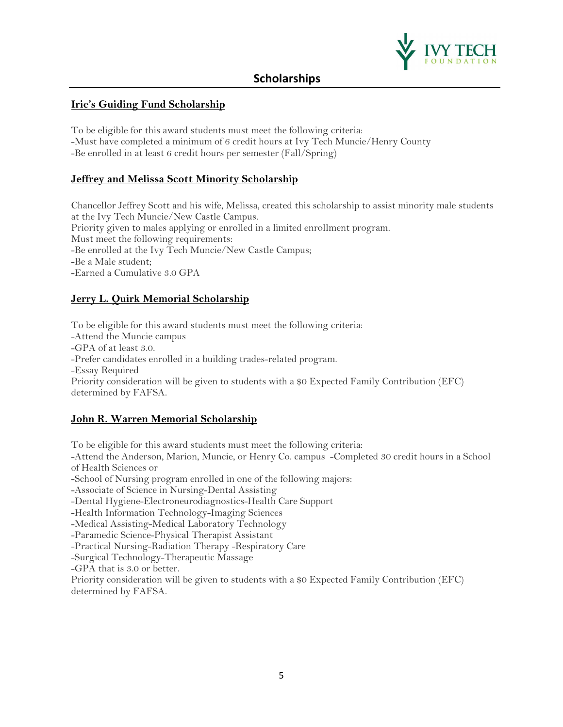

## **Irie's Guiding Fund Scholarship**

To be eligible for this award students must meet the following criteria: -Must have completed a minimum of 6 credit hours at Ivy Tech Muncie/Henry County -Be enrolled in at least 6 credit hours per semester (Fall/Spring)

### **Jeffrey and Melissa Scott Minority Scholarship**

Chancellor Jeffrey Scott and his wife, Melissa, created this scholarship to assist minority male students at the Ivy Tech Muncie/New Castle Campus. Priority given to males applying or enrolled in a limited enrollment program. Must meet the following requirements: -Be enrolled at the Ivy Tech Muncie/New Castle Campus; -Be a Male student; -Earned a Cumulative 3.0 GPA

### **Jerry L. Quirk Memorial Scholarship**

To be eligible for this award students must meet the following criteria: -Attend the Muncie campus -GPA of at least 3.0. -Prefer candidates enrolled in a building trades-related program. -Essay Required Priority consideration will be given to students with a \$0 Expected Family Contribution (EFC) determined by FAFSA.

### **John R. Warren Memorial Scholarship**

To be eligible for this award students must meet the following criteria: -Attend the Anderson, Marion, Muncie, or Henry Co. campus -Completed 30 credit hours in a School of Health Sciences or -School of Nursing program enrolled in one of the following majors: -Associate of Science in Nursing-Dental Assisting -Dental Hygiene-Electroneurodiagnostics-Health Care Support -Health Information Technology-Imaging Sciences -Medical Assisting-Medical Laboratory Technology -Paramedic Science-Physical Therapist Assistant -Practical Nursing-Radiation Therapy -Respiratory Care -Surgical Technology-Therapeutic Massage -GPA that is 3.0 or better. Priority consideration will be given to students with a \$0 Expected Family Contribution (EFC) determined by FAFSA.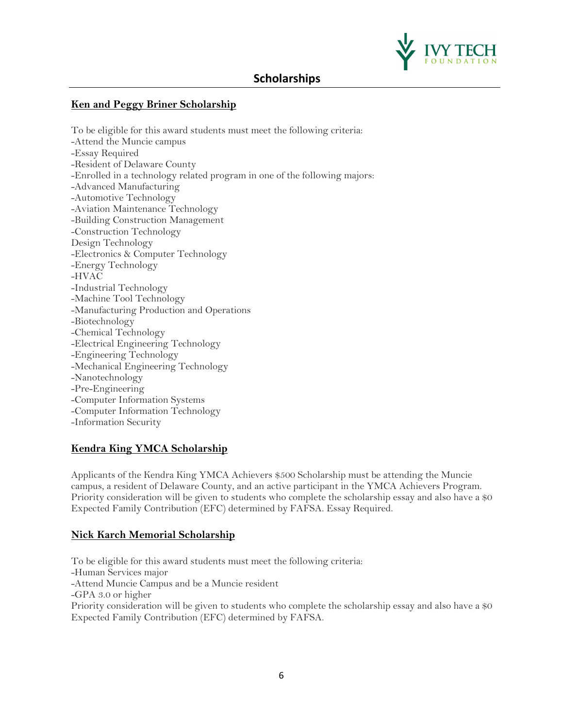

### **Ken and Peggy Briner Scholarship**

To be eligible for this award students must meet the following criteria: -Attend the Muncie campus -Essay Required -Resident of Delaware County -Enrolled in a technology related program in one of the following majors: -Advanced Manufacturing -Automotive Technology -Aviation Maintenance Technology -Building Construction Management -Construction Technology Design Technology -Electronics & Computer Technology -Energy Technology -HVAC -Industrial Technology -Machine Tool Technology -Manufacturing Production and Operations -Biotechnology -Chemical Technology -Electrical Engineering Technology -Engineering Technology -Mechanical Engineering Technology -Nanotechnology -Pre-Engineering -Computer Information Systems -Computer Information Technology -Information Security

### **Kendra King YMCA Scholarship**

Applicants of the Kendra King YMCA Achievers \$500 Scholarship must be attending the Muncie campus, a resident of Delaware County, and an active participant in the YMCA Achievers Program. Priority consideration will be given to students who complete the scholarship essay and also have a \$0 Expected Family Contribution (EFC) determined by FAFSA. Essay Required.

### **Nick Karch Memorial Scholarship**

To be eligible for this award students must meet the following criteria: -Human Services major -Attend Muncie Campus and be a Muncie resident -GPA 3.0 or higher Priority consideration will be given to students who complete the scholarship essay and also have a \$0 Expected Family Contribution (EFC) determined by FAFSA.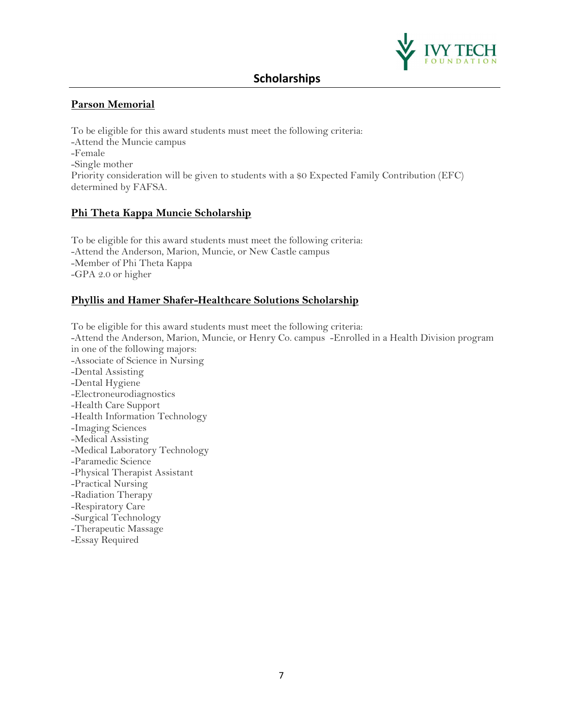

## **Parson Memorial**

To be eligible for this award students must meet the following criteria: -Attend the Muncie campus -Female -Single mother Priority consideration will be given to students with a \$0 Expected Family Contribution (EFC) determined by FAFSA.

### **Phi Theta Kappa Muncie Scholarship**

To be eligible for this award students must meet the following criteria: -Attend the Anderson, Marion, Muncie, or New Castle campus -Member of Phi Theta Kappa -GPA 2.0 or higher

## **Phyllis and Hamer Shafer-Healthcare Solutions Scholarship**

To be eligible for this award students must meet the following criteria: -Attend the Anderson, Marion, Muncie, or Henry Co. campus -Enrolled in a Health Division program in one of the following majors: -Associate of Science in Nursing -Dental Assisting -Dental Hygiene -Electroneurodiagnostics -Health Care Support -Health Information Technology -Imaging Sciences -Medical Assisting -Medical Laboratory Technology -Paramedic Science -Physical Therapist Assistant -Practical Nursing -Radiation Therapy -Respiratory Care -Surgical Technology -Therapeutic Massage -Essay Required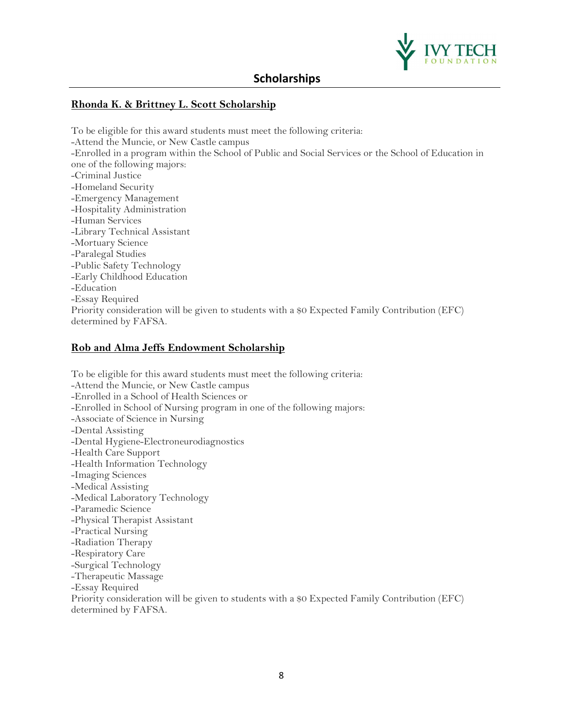

### **Rhonda K. & Brittney L. Scott Scholarship**

To be eligible for this award students must meet the following criteria: -Attend the Muncie, or New Castle campus -Enrolled in a program within the School of Public and Social Services or the School of Education in one of the following majors: -Criminal Justice -Homeland Security -Emergency Management -Hospitality Administration -Human Services -Library Technical Assistant -Mortuary Science -Paralegal Studies -Public Safety Technology -Early Childhood Education -Education -Essay Required Priority consideration will be given to students with a \$0 Expected Family Contribution (EFC) determined by FAFSA.

### **Rob and Alma Jeffs Endowment Scholarship**

To be eligible for this award students must meet the following criteria: -Attend the Muncie, or New Castle campus -Enrolled in a School of Health Sciences or -Enrolled in School of Nursing program in one of the following majors: -Associate of Science in Nursing -Dental Assisting -Dental Hygiene-Electroneurodiagnostics -Health Care Support -Health Information Technology -Imaging Sciences -Medical Assisting -Medical Laboratory Technology -Paramedic Science -Physical Therapist Assistant -Practical Nursing -Radiation Therapy -Respiratory Care -Surgical Technology -Therapeutic Massage -Essay Required Priority consideration will be given to students with a \$0 Expected Family Contribution (EFC) determined by FAFSA.